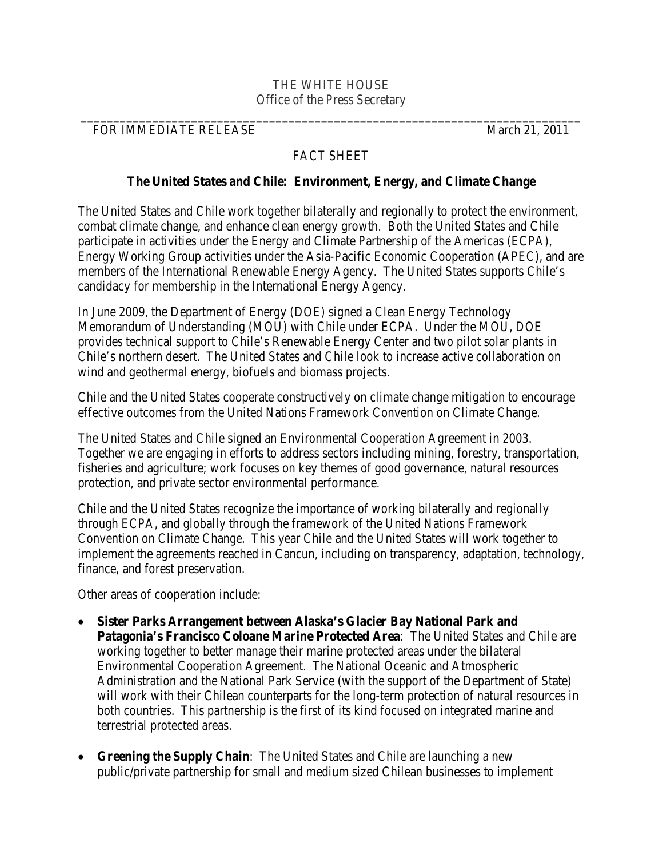## THE WHITE HOUSE Office of the Press Secretary

**\_\_\_\_\_\_\_\_\_\_\_\_\_\_\_\_\_\_\_\_\_\_\_\_\_\_\_\_\_\_\_\_\_\_\_\_\_\_\_\_\_\_\_\_\_\_\_\_\_\_\_\_\_\_\_\_\_\_\_\_\_\_\_\_\_\_\_\_\_\_\_\_\_\_\_\_\_**

## FOR IMMEDIATE RELEASE March 21, 2011

## FACT SHEET

## **The United States and Chile: Environment, Energy, and Climate Change**

The United States and Chile work together bilaterally and regionally to protect the environment, combat climate change, and enhance clean energy growth. Both the United States and Chile participate in activities under the Energy and Climate Partnership of the Americas (ECPA), Energy Working Group activities under the Asia-Pacific Economic Cooperation (APEC), and are members of the International Renewable Energy Agency. The United States supports Chile's candidacy for membership in the International Energy Agency.

In June 2009, the Department of Energy (DOE) signed a Clean Energy Technology Memorandum of Understanding (MOU) with Chile under ECPA. Under the MOU, DOE provides technical support to Chile's Renewable Energy Center and two pilot solar plants in Chile's northern desert. The United States and Chile look to increase active collaboration on wind and geothermal energy, biofuels and biomass projects.

Chile and the United States cooperate constructively on climate change mitigation to encourage effective outcomes from the United Nations Framework Convention on Climate Change.

The United States and Chile signed an Environmental Cooperation Agreement in 2003. Together we are engaging in efforts to address sectors including mining, forestry, transportation, fisheries and agriculture; work focuses on key themes of good governance, natural resources protection, and private sector environmental performance.

Chile and the United States recognize the importance of working bilaterally and regionally through ECPA, and globally through the framework of the United Nations Framework Convention on Climate Change. This year Chile and the United States will work together to implement the agreements reached in Cancun, including on transparency, adaptation, technology, finance, and forest preservation.

Other areas of cooperation include:

- **Sister Parks Arrangement between Alaska's Glacier Bay National Park and Patagonia's Francisco Coloane Marine Protected Area**:The United States and Chile are working together to better manage their marine protected areas under the bilateral Environmental Cooperation Agreement. The National Oceanic and Atmospheric Administration and the National Park Service (with the support of the Department of State) will work with their Chilean counterparts for the long-term protection of natural resources in both countries. This partnership is the first of its kind focused on integrated marine and terrestrial protected areas.
- **Greening the Supply Chain**:The United States and Chile are launching a new public/private partnership for small and medium sized Chilean businesses to implement